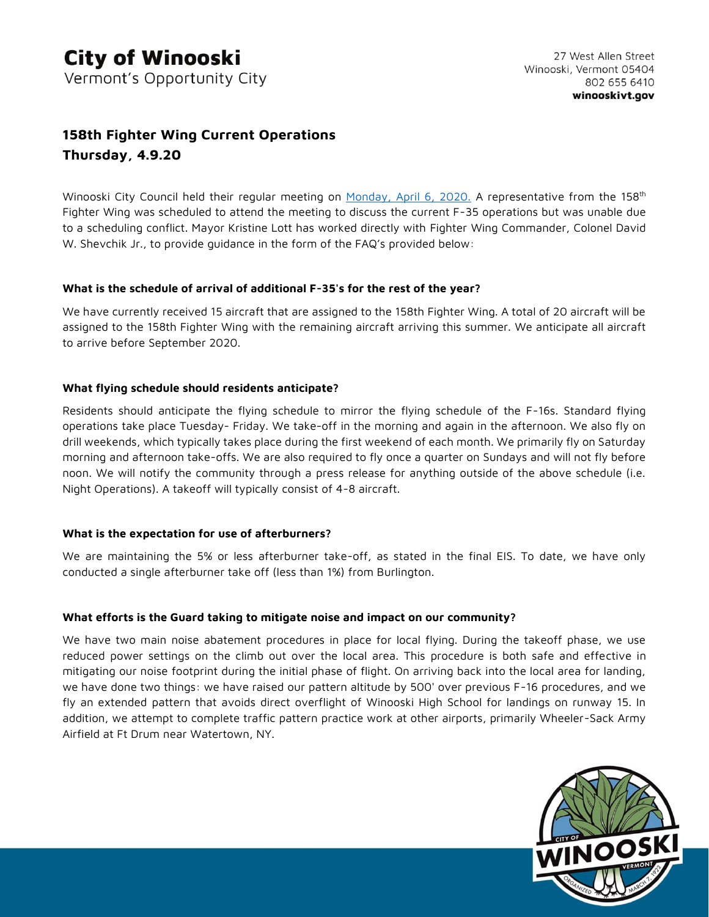# **158th Fighter Wing Current Operations Thursday, 4.9.20**

Winooski City Council held their regular meeting on [Monday, April 6, 2020.](https://www.winooskivt.gov/CivicAlerts.aspx?AID=355) A representative from the 158<sup>th</sup> Fighter Wing was scheduled to attend the meeting to discuss the current F-35 operations but was unable due to a scheduling conflict. Mayor Kristine Lott has worked directly with Fighter Wing Commander, Colonel David W. Shevchik Jr., to provide quidance in the form of the FAQ's provided below:

#### **What is the schedule of arrival of additional F-35's for the rest of the year?**

We have currently received 15 aircraft that are assigned to the 158th Fighter Wing. A total of 20 aircraft will be assigned to the 158th Fighter Wing with the remaining aircraft arriving this summer. We anticipate all aircraft to arrive before September 2020.

## **What flying schedule should residents anticipate?**

Residents should anticipate the flying schedule to mirror the flying schedule of the F-16s. Standard flying operations take place Tuesday- Friday. We take-off in the morning and again in the afternoon. We also fly on drill weekends, which typically takes place during the first weekend of each month. We primarily fly on Saturday morning and afternoon take-offs. We are also required to fly once a quarter on Sundays and will not fly before noon. We will notify the community through a press release for anything outside of the above schedule (i.e. Night Operations). A takeoff will typically consist of 4-8 aircraft.

## **What is the expectation for use of afterburners?**

We are maintaining the 5% or less afterburner take-off, as stated in the final EIS. To date, we have only conducted a single afterburner take off (less than 1%) from Burlington.

## **What efforts is the Guard taking to mitigate noise and impact on our community?**

We have two main noise abatement procedures in place for local flying. During the takeoff phase, we use reduced power settings on the climb out over the local area. This procedure is both safe and effective in mitigating our noise footprint during the initial phase of flight. On arriving back into the local area for landing, we have done two things: we have raised our pattern altitude by 500' over previous F-16 procedures, and we fly an extended pattern that avoids direct overflight of Winooski High School for landings on runway 15. In addition, we attempt to complete traffic pattern practice work at other airports, primarily Wheeler-Sack Army Airfield at Ft Drum near Watertown, NY.